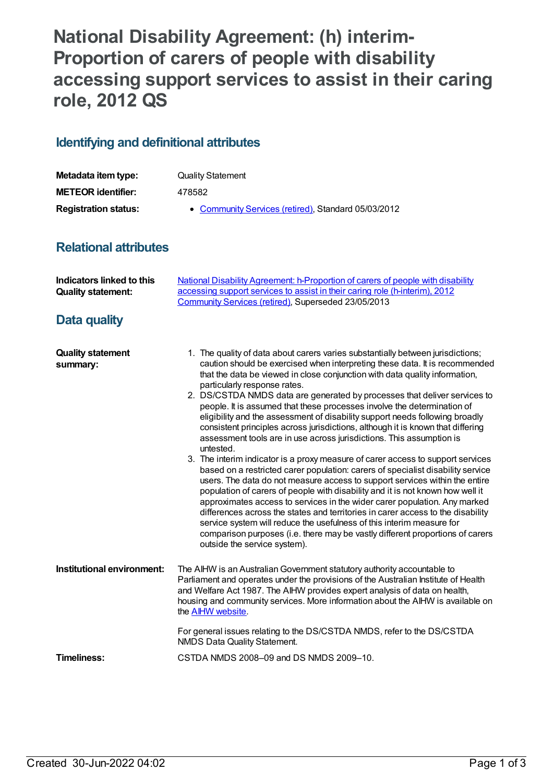## **National Disability Agreement: (h) interim-Proportion of carers of people with disability accessing support services to assist in their caring role, 2012 QS**

## **Identifying and definitional attributes**

| Metadata item type:         | <b>Quality Statement</b>                            |
|-----------------------------|-----------------------------------------------------|
| <b>METEOR identifier:</b>   | 478582                                              |
| <b>Registration status:</b> | • Community Services (retired), Standard 05/03/2012 |

## **Relational attributes**

| <b>Indicators linked to this</b><br><b>Quality statement:</b> | National Disability Agreement: h-Proportion of carers of people with disability<br>accessing support services to assist in their caring role (h-interim), 2012<br>Community Services (retired), Superseded 23/05/2013                                                                                                                                                                                                                                                                                                                                                                                                                                                                                                                                                                                                                                                                                                                                                                                                                                                                                                                                                                                                                                                                                                                                                                          |
|---------------------------------------------------------------|------------------------------------------------------------------------------------------------------------------------------------------------------------------------------------------------------------------------------------------------------------------------------------------------------------------------------------------------------------------------------------------------------------------------------------------------------------------------------------------------------------------------------------------------------------------------------------------------------------------------------------------------------------------------------------------------------------------------------------------------------------------------------------------------------------------------------------------------------------------------------------------------------------------------------------------------------------------------------------------------------------------------------------------------------------------------------------------------------------------------------------------------------------------------------------------------------------------------------------------------------------------------------------------------------------------------------------------------------------------------------------------------|
| Data quality                                                  |                                                                                                                                                                                                                                                                                                                                                                                                                                                                                                                                                                                                                                                                                                                                                                                                                                                                                                                                                                                                                                                                                                                                                                                                                                                                                                                                                                                                |
| <b>Quality statement</b><br>summary:                          | 1. The quality of data about carers varies substantially between jurisdictions;<br>caution should be exercised when interpreting these data. It is recommended<br>that the data be viewed in close conjunction with data quality information,<br>particularly response rates.<br>2. DS/CSTDA NMDS data are generated by processes that deliver services to<br>people. It is assumed that these processes involve the determination of<br>eligibility and the assessment of disability support needs following broadly<br>consistent principles across jurisdictions, although it is known that differing<br>assessment tools are in use across jurisdictions. This assumption is<br>untested.<br>3. The interim indicator is a proxy measure of carer access to support services<br>based on a restricted carer population: carers of specialist disability service<br>users. The data do not measure access to support services within the entire<br>population of carers of people with disability and it is not known how well it<br>approximates access to services in the wider carer population. Any marked<br>differences across the states and territories in carer access to the disability<br>service system will reduce the usefulness of this interim measure for<br>comparison purposes (i.e. there may be vastly different proportions of carers<br>outside the service system). |
| Institutional environment:                                    | The AIHW is an Australian Government statutory authority accountable to<br>Parliament and operates under the provisions of the Australian Institute of Health<br>and Welfare Act 1987. The AIHW provides expert analysis of data on health,<br>housing and community services. More information about the AIHW is available on<br>the <b>AIHW</b> website.<br>For general issues relating to the DS/CSTDA NMDS, refer to the DS/CSTDA<br>NMDS Data Quality Statement.                                                                                                                                                                                                                                                                                                                                                                                                                                                                                                                                                                                                                                                                                                                                                                                                                                                                                                                          |
| <b>Timeliness:</b>                                            | CSTDA NMDS 2008-09 and DS NMDS 2009-10.                                                                                                                                                                                                                                                                                                                                                                                                                                                                                                                                                                                                                                                                                                                                                                                                                                                                                                                                                                                                                                                                                                                                                                                                                                                                                                                                                        |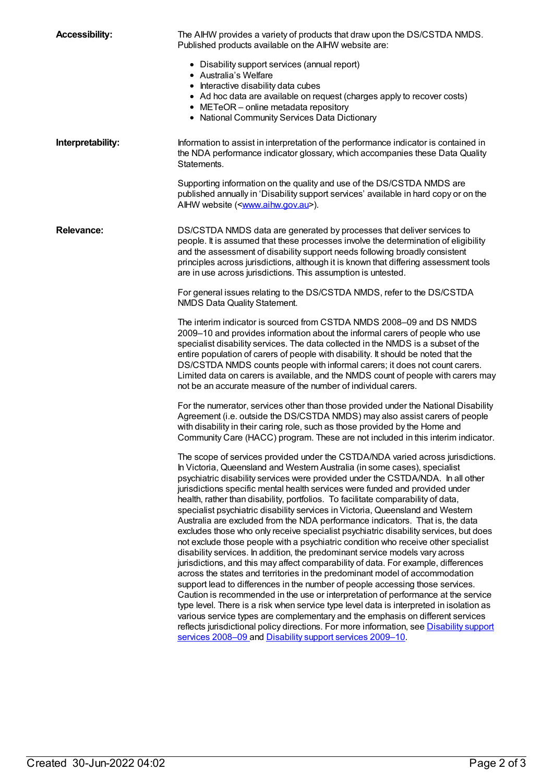| <b>Accessibility:</b> | The AIHW provides a variety of products that draw upon the DS/CSTDA NMDS.<br>Published products available on the AIHW website are:                                                                                                                                                                                                                                                                                                                                                                                                                                                                                                                                                                                                                                                                                                                                                                                                                                                                                                                                                                                                                                                                                                                                                                                                                                                                                                                                      |
|-----------------------|-------------------------------------------------------------------------------------------------------------------------------------------------------------------------------------------------------------------------------------------------------------------------------------------------------------------------------------------------------------------------------------------------------------------------------------------------------------------------------------------------------------------------------------------------------------------------------------------------------------------------------------------------------------------------------------------------------------------------------------------------------------------------------------------------------------------------------------------------------------------------------------------------------------------------------------------------------------------------------------------------------------------------------------------------------------------------------------------------------------------------------------------------------------------------------------------------------------------------------------------------------------------------------------------------------------------------------------------------------------------------------------------------------------------------------------------------------------------------|
|                       | • Disability support services (annual report)<br>• Australia's Welfare<br>• Interactive disability data cubes                                                                                                                                                                                                                                                                                                                                                                                                                                                                                                                                                                                                                                                                                                                                                                                                                                                                                                                                                                                                                                                                                                                                                                                                                                                                                                                                                           |
|                       | • Ad hoc data are available on request (charges apply to recover costs)<br>• METeOR - online metadata repository<br>• National Community Services Data Dictionary                                                                                                                                                                                                                                                                                                                                                                                                                                                                                                                                                                                                                                                                                                                                                                                                                                                                                                                                                                                                                                                                                                                                                                                                                                                                                                       |
| Interpretability:     | Information to assist in interpretation of the performance indicator is contained in<br>the NDA performance indicator glossary, which accompanies these Data Quality<br>Statements.                                                                                                                                                                                                                                                                                                                                                                                                                                                                                                                                                                                                                                                                                                                                                                                                                                                                                                                                                                                                                                                                                                                                                                                                                                                                                     |
|                       | Supporting information on the quality and use of the DS/CSTDA NMDS are<br>published annually in 'Disability support services' available in hard copy or on the<br>AlHW website ( <www.aihw.gov.au>).</www.aihw.gov.au>                                                                                                                                                                                                                                                                                                                                                                                                                                                                                                                                                                                                                                                                                                                                                                                                                                                                                                                                                                                                                                                                                                                                                                                                                                                  |
| <b>Relevance:</b>     | DS/CSTDA NMDS data are generated by processes that deliver services to<br>people. It is assumed that these processes involve the determination of eligibility<br>and the assessment of disability support needs following broadly consistent<br>principles across jurisdictions, although it is known that differing assessment tools<br>are in use across jurisdictions. This assumption is untested.                                                                                                                                                                                                                                                                                                                                                                                                                                                                                                                                                                                                                                                                                                                                                                                                                                                                                                                                                                                                                                                                  |
|                       | For general issues relating to the DS/CSTDA NMDS, refer to the DS/CSTDA<br>NMDS Data Quality Statement.                                                                                                                                                                                                                                                                                                                                                                                                                                                                                                                                                                                                                                                                                                                                                                                                                                                                                                                                                                                                                                                                                                                                                                                                                                                                                                                                                                 |
|                       | The interim indicator is sourced from CSTDA NMDS 2008-09 and DS NMDS<br>2009-10 and provides information about the informal carers of people who use<br>specialist disability services. The data collected in the NMDS is a subset of the<br>entire population of carers of people with disability. It should be noted that the<br>DS/CSTDA NMDS counts people with informal carers; it does not count carers.<br>Limited data on carers is available, and the NMDS count of people with carers may<br>not be an accurate measure of the number of individual carers.                                                                                                                                                                                                                                                                                                                                                                                                                                                                                                                                                                                                                                                                                                                                                                                                                                                                                                   |
|                       | For the numerator, services other than those provided under the National Disability<br>Agreement (i.e. outside the DS/CSTDA NMDS) may also assist carers of people<br>with disability in their caring role, such as those provided by the Home and<br>Community Care (HACC) program. These are not included in this interim indicator.                                                                                                                                                                                                                                                                                                                                                                                                                                                                                                                                                                                                                                                                                                                                                                                                                                                                                                                                                                                                                                                                                                                                  |
|                       | The scope of services provided under the CSTDA/NDA varied across jurisdictions.<br>In Victoria, Queensland and Western Australia (in some cases), specialist<br>psychiatric disability services were provided under the CSTDA/NDA. In all other<br>jurisdictions specific mental health services were funded and provided under<br>health, rather than disability, portfolios. To facilitate comparability of data,<br>specialist psychiatric disability services in Victoria, Queensland and Western<br>Australia are excluded from the NDA performance indicators. That is, the data<br>excludes those who only receive specialist psychiatric disability services, but does<br>not exclude those people with a psychiatric condition who receive other specialist<br>disability services. In addition, the predominant service models vary across<br>jurisdictions, and this may affect comparability of data. For example, differences<br>across the states and territories in the predominant model of accommodation<br>support lead to differences in the number of people accessing those services.<br>Caution is recommended in the use or interpretation of performance at the service<br>type level. There is a risk when service type level data is interpreted in isolation as<br>various service types are complementary and the emphasis on different services<br>reflects jurisdictional policy directions. For more information, see Disability support |